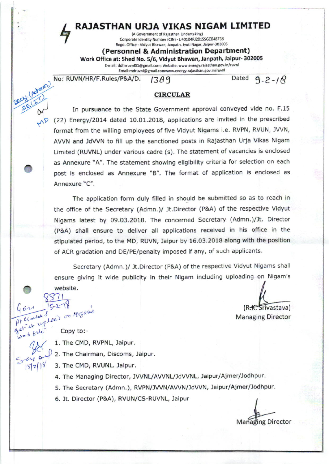### RAJASTHAN URJA VIKAS NIGAM LIMITED

(A Government of Rajasthan Undertaking) Corporate Identity Number (CIN) - U40104RJ2015SGC048738 Regd. Office - Vidyut Bhawan, Janpath, Jyoti Nagar, Jaipur-302005

(Personnel & Administration Department)

Work Office at: Shed No. 5/6, Vidyut Bhawan, Janpath, Jaipur- 302005 E-mail: ddhrruvnl01@gmail.com; Website: www.energy.rajasthan.gov.in/ruvnl

Email-mdruvnl@gmail.comwww.energy.rajasthan.gov.in/ruvnl

No: RUVN/HR/F.Rules/P&A/D. 1389

Dated  $9 - 2 - 18$ 

#### **CIRCULAR**

Secritations In pursuance to the State Government approval conveyed vide no. F.15  $\sqrt{2}$  (22) Energy/2014 dated 10.01.2018, applications are invited in the prescribed format from the willing employees of five Vidyut Nigams i.e. RVPN, RVUN, JVVN, AVVN and JdVVN to fill up the sanctioned posts in Rajasthan Urja Vikas Nigam Limited (RUVNL) under various cadre (s). The statement of vacancies is enclosed as Annexure "A". The statement showing eligibility criteria for selection on each post is enclosed as Annexure "B". The format of application is enclosed as Annexure "C".

> The application form duly filled in should be submitted so as to reach in the office of the Secretary (Admn.)/ Jt.Director (P&A) of the respective Vidyut Nigams latest by 09.03.2018. The concerned Secretary (Admn.)/Jt. Director (P&A) shall ensure to deliver all applications received in his office in the stipulated period, to the MD, RUVN, Jaipur by 16.03.2018 along with the position of ACR gradation and DE/PE/penalty imposed if any, of such applicants.

> Secretary (Admn.)/ Jt.Director (P&A) of the respective Vidyut Nigams shall ensure giving it wide publicity in their Nigam including uploading on Nigam's website.

> > (R<del>.K.</del> Srivastava) **Managing Director**

get it up load on Migamis

 $552$ 

wab file

 $\overline{M}$ 

 $1572118$ 

- 1. The CMD, RVPNL, Jaipur.
- 2. The Chairman, Discoms, Jaipur.

3. The CMD, RVUNL. Jaipur.

- 4. The Managing Director, JVVNL/AVVNL/JdVVNL, Jaipur/Ajmer/Jodhpur.
- 5. The Secretary (Admn.), RVPN/JVVN/AVVN/JdVVN, Jaipur/Ajmer/Jodhpur.
- 6. Jt. Director (P&A), RVUN/CS-RUVNL, Jaipur

**Managing Director**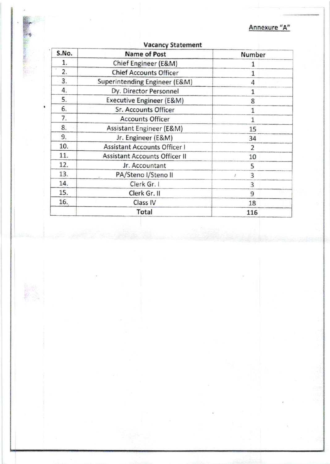Annexure "A"

| S.No. | <b>Name of Post</b>                  | Number         |
|-------|--------------------------------------|----------------|
| 1.    | Chief Engineer (E&M)                 | 1              |
| 2.    | <b>Chief Accounts Officer</b>        | $\mathbf{1}$   |
| 3.    | Superintending Engineer (E&M)        | 4              |
| 4.    | Dy. Director Personnel               | $\mathbf{1}$   |
| 5.    | Executive Engineer (E&M)             | 8              |
| 6.    | Sr. Accounts Officer                 | $\mathbf{1}$   |
| 7.    | <b>Accounts Officer</b>              | $\mathbf{1}$   |
| 8.    | Assistant Engineer (E&M)             | 15             |
| 9.    | Jr. Engineer (E&M)                   | 34             |
| 10.   | <b>Assistant Accounts Officer I</b>  | $\overline{2}$ |
| 11.   | <b>Assistant Accounts Officer II</b> | 10             |
| 12.   | Jr. Accountant                       | 5              |
| 13.   | PA/Steno I/Steno II                  | 3              |
| 14.   | Clerk Gr. I                          | 3              |
| 15.   | Clerk Gr. II                         | 9              |
| 16.   | Class IV                             | 18             |
|       | Total                                | 116            |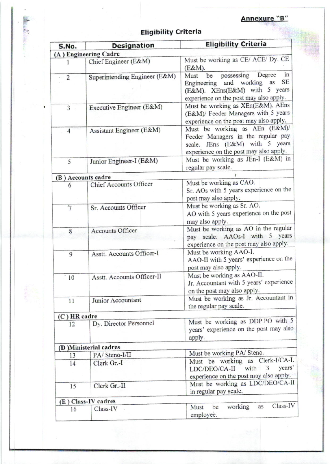### **Eligibility Criteria**

| S.No.          | <b>Designation</b>            | <b>Eligibility Criteria</b>                                                                                                                                       |  |  |
|----------------|-------------------------------|-------------------------------------------------------------------------------------------------------------------------------------------------------------------|--|--|
|                | (A) Engineering Cadre         |                                                                                                                                                                   |  |  |
|                | Chief Engineer (E&M)          | Must be working as CE/ ACE/ Dy. CE<br>(E&M).                                                                                                                      |  |  |
| $\overline{2}$ | Superintending Engineer (E&M) | Degree<br>in<br>possessing<br>Must<br>be<br><b>SE</b><br>and working as<br>Engineering<br>(E&M). XEns(E&M) with 5 years<br>experience on the post may also apply. |  |  |
| 3              | Executive Engineer (E&M)      | Must be working as XEn(E&M). AEns<br>(E&M)/ Feeder Managers with 5 years<br>experience on the post may also apply.                                                |  |  |
| 4              | Assistant Engineer (E&M)      | Must be working as AEn (E&M)/<br>Feeder Managers in the regular pay<br>scale. JEns (E&M) with 5 years<br>experience on the post may also apply.                   |  |  |
| 5              | Junior Engineer-I (E&M)       | Must be working as JEn-I (E&M) in<br>regular pay scale.                                                                                                           |  |  |
|                | (B) Accounts cadre            |                                                                                                                                                                   |  |  |
| 6              | Chief Accounts Officer        | Must be working as CAO.<br>Sr. AOs with 5 years experience on the<br>post may also apply.                                                                         |  |  |
| $\overline{7}$ | Sr. Accounts Officer          | Must be working as Sr. AO.<br>AO with 5 years experience on the post<br>may also apply.                                                                           |  |  |
| 8              | Accounts Officer              | Must be working as AO in the regular<br>pay scale. AAOs-I with 5 years<br>experience on the post may also apply.                                                  |  |  |
| 9              | Asstt. Accounts Officer-I     | Must be working AAO-I.<br>AAO-II with 5 years' experience on the<br>post may also apply.                                                                          |  |  |
| 10             | Asstt. Accounts Officer-II    | Must be working as AAO-II.<br>Jr. Accountant with 5 years' experience<br>on the post may also apply.                                                              |  |  |
| 11             | Junior Accountant             | Must be working as Jr. Accountant in<br>the regular pay scale.                                                                                                    |  |  |
| (C) HR cadre   |                               |                                                                                                                                                                   |  |  |
| 12             | Dy. Director Personnel        | Must be working as DDP.PO with 5<br>years' experience on the post may also<br>apply.                                                                              |  |  |
|                | (D) Ministerial cadres        |                                                                                                                                                                   |  |  |
| 13             | PA/Steno-I/II                 | Must be working PA/ Steno.                                                                                                                                        |  |  |
| 14             | Clerk Gr.-I                   | Must be working as Clerk-I/CA-I.<br>LDC/DEO/CA-II with 3<br>years'<br>experience on the post may also apply.                                                      |  |  |
| 15             | Clerk Gr.-II                  | Must be working as LDC/DEO/CA-II<br>in regular pay scale.                                                                                                         |  |  |
|                | (E) Class-IV cadres           |                                                                                                                                                                   |  |  |
| 16             | $Class$ -IV                   | Class-IV<br>working<br>as<br>be<br>Must<br>employee.                                                                                                              |  |  |